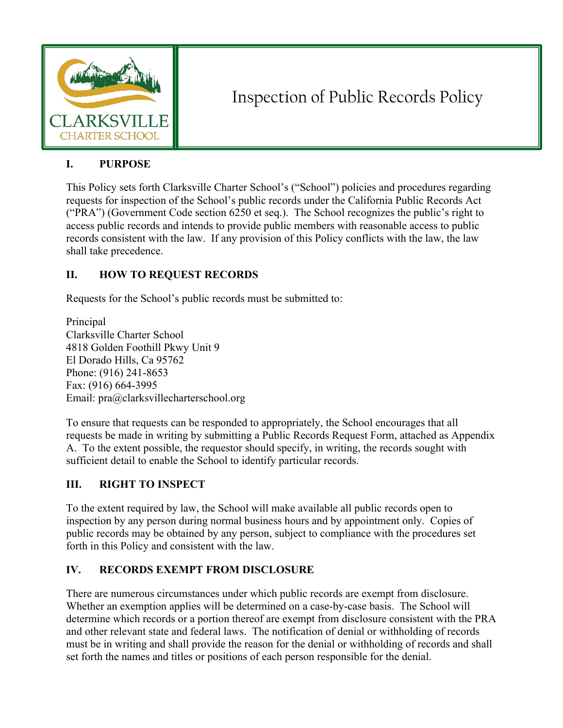

# Inspection of Public Records Policy

#### **I. PURPOSE**

This Policy sets forth Clarksville Charter School's ("School") policies and procedures regarding requests for inspection of the School's public records under the California Public Records Act ("PRA") (Government Code section 6250 et seq.). The School recognizes the public's right to access public records and intends to provide public members with reasonable access to public records consistent with the law. If any provision of this Policy conflicts with the law, the law shall take precedence.

# **II. HOW TO REQUEST RECORDS**

Requests for the School's public records must be submitted to:

Principal Clarksville Charter School 4818 Golden Foothill Pkwy Unit 9 El Dorado Hills, Ca 95762 Phone: (916) 241-8653 Fax: (916) 664-3995 Email: pra@clarksvillecharterschool.org

To ensure that requests can be responded to appropriately, the School encourages that all requests be made in writing by submitting a Public Records Request Form, attached as Appendix A. To the extent possible, the requestor should specify, in writing, the records sought with sufficient detail to enable the School to identify particular records.

# **III. RIGHT TO INSPECT**

To the extent required by law, the School will make available all public records open to inspection by any person during normal business hours and by appointment only. Copies of public records may be obtained by any person, subject to compliance with the procedures set forth in this Policy and consistent with the law.

# **IV. RECORDS EXEMPT FROM DISCLOSURE**

There are numerous circumstances under which public records are exempt from disclosure. Whether an exemption applies will be determined on a case-by-case basis. The School will determine which records or a portion thereof are exempt from disclosure consistent with the PRA and other relevant state and federal laws. The notification of denial or withholding of records must be in writing and shall provide the reason for the denial or withholding of records and shall set forth the names and titles or positions of each person responsible for the denial.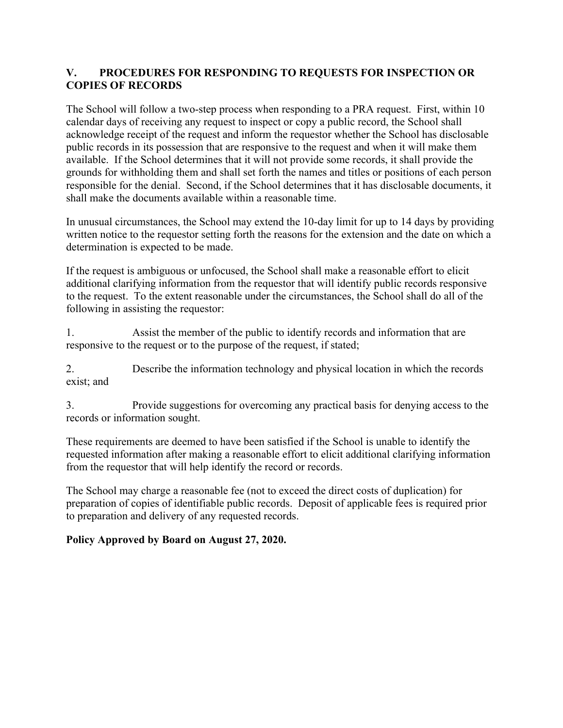#### **V. PROCEDURES FOR RESPONDING TO REQUESTS FOR INSPECTION OR COPIES OF RECORDS**

The School will follow a two-step process when responding to a PRA request. First, within 10 calendar days of receiving any request to inspect or copy a public record, the School shall acknowledge receipt of the request and inform the requestor whether the School has disclosable public records in its possession that are responsive to the request and when it will make them available. If the School determines that it will not provide some records, it shall provide the grounds for withholding them and shall set forth the names and titles or positions of each person responsible for the denial. Second, if the School determines that it has disclosable documents, it shall make the documents available within a reasonable time.

In unusual circumstances, the School may extend the 10-day limit for up to 14 days by providing written notice to the requestor setting forth the reasons for the extension and the date on which a determination is expected to be made.

If the request is ambiguous or unfocused, the School shall make a reasonable effort to elicit additional clarifying information from the requestor that will identify public records responsive to the request. To the extent reasonable under the circumstances, the School shall do all of the following in assisting the requestor:

1. Assist the member of the public to identify records and information that are responsive to the request or to the purpose of the request, if stated;

2. Describe the information technology and physical location in which the records exist; and

3. Provide suggestions for overcoming any practical basis for denying access to the records or information sought.

These requirements are deemed to have been satisfied if the School is unable to identify the requested information after making a reasonable effort to elicit additional clarifying information from the requestor that will help identify the record or records.

The School may charge a reasonable fee (not to exceed the direct costs of duplication) for preparation of copies of identifiable public records. Deposit of applicable fees is required prior to preparation and delivery of any requested records.

#### **Policy Approved by Board on August 27, 2020.**